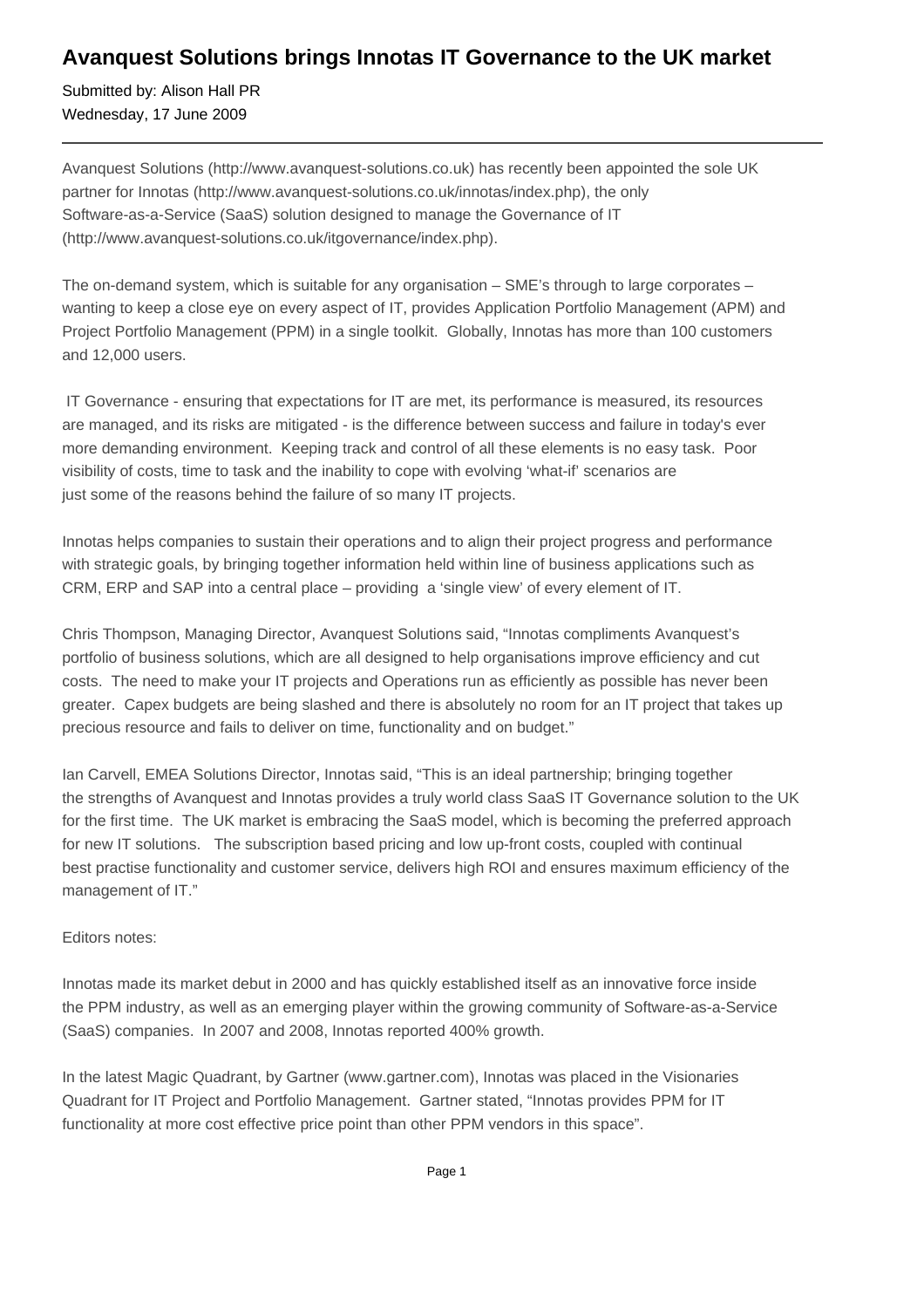## **Avanquest Solutions brings Innotas IT Governance to the UK market**

Submitted by: Alison Hall PR Wednesday, 17 June 2009

Avanquest Solutions (http://www.avanquest-solutions.co.uk) has recently been appointed the sole UK partner for Innotas (http://www.avanquest-solutions.co.uk/innotas/index.php), the only Software-as-a-Service (SaaS) solution designed to manage the Governance of IT (http://www.avanquest-solutions.co.uk/itgovernance/index.php).

The on-demand system, which is suitable for any organisation – SME's through to large corporates – wanting to keep a close eye on every aspect of IT, provides Application Portfolio Management (APM) and Project Portfolio Management (PPM) in a single toolkit. Globally, Innotas has more than 100 customers and 12,000 users.

 IT Governance - ensuring that expectations for IT are met, its performance is measured, its resources are managed, and its risks are mitigated - is the difference between success and failure in today's ever more demanding environment. Keeping track and control of all these elements is no easy task. Poor visibility of costs, time to task and the inability to cope with evolving 'what-if' scenarios are just some of the reasons behind the failure of so many IT projects.

Innotas helps companies to sustain their operations and to align their project progress and performance with strategic goals, by bringing together information held within line of business applications such as CRM, ERP and SAP into a central place – providing a 'single view' of every element of IT.

Chris Thompson, Managing Director, Avanquest Solutions said, "Innotas compliments Avanquest's portfolio of business solutions, which are all designed to help organisations improve efficiency and cut costs. The need to make your IT projects and Operations run as efficiently as possible has never been greater. Capex budgets are being slashed and there is absolutely no room for an IT project that takes up precious resource and fails to deliver on time, functionality and on budget."

Ian Carvell, EMEA Solutions Director, Innotas said, "This is an ideal partnership; bringing together the strengths of Avanquest and Innotas provides a truly world class SaaS IT Governance solution to the UK for the first time. The UK market is embracing the SaaS model, which is becoming the preferred approach for new IT solutions. The subscription based pricing and low up-front costs, coupled with continual best practise functionality and customer service, delivers high ROI and ensures maximum efficiency of the management of IT."

## Editors notes:

Innotas made its market debut in 2000 and has quickly established itself as an innovative force inside the PPM industry, as well as an emerging player within the growing community of Software-as-a-Service (SaaS) companies. In 2007 and 2008, Innotas reported 400% growth.

In the latest Magic Quadrant, by Gartner (www.gartner.com), Innotas was placed in the Visionaries Quadrant for IT Project and Portfolio Management. Gartner stated, "Innotas provides PPM for IT functionality at more cost effective price point than other PPM vendors in this space".